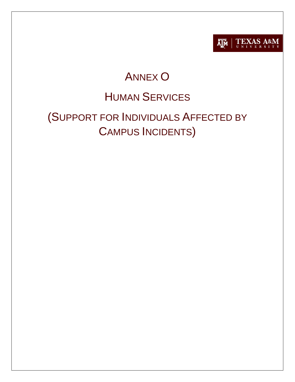

# **ANNEX O**

# **HUMAN SERVICES**

# <span id="page-0-0"></span>(SUPPORT FOR INDIVIDUALS AFFECTED BY **CAMPUS INCIDENTS)**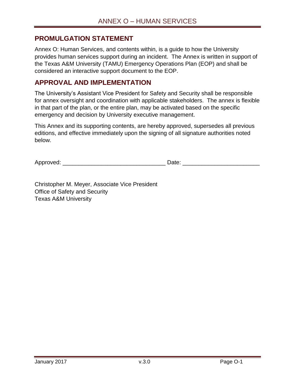#### <span id="page-1-0"></span>**PROMULGATION STATEMENT**

Annex O: Human Services, and contents within, is a guide to how the University provides human services support during an incident. The Annex is written in support of the Texas A&M University (TAMU) Emergency Operations Plan (EOP) and shall be considered an interactive support document to the EOP.

#### <span id="page-1-1"></span>**APPROVAL AND IMPLEMENTATION**

The University's Assistant Vice President for Safety and Security shall be responsible for annex oversight and coordination with applicable stakeholders. The annex is flexible in that part of the plan, or the entire plan, may be activated based on the specific emergency and decision by University executive management.

This Annex and its supporting contents, are hereby approved, supersedes all previous editions, and effective immediately upon the signing of all signature authorities noted below.

Approved: etc. and the set of the set of the Date:  $\Box$  Date:

Christopher M. Meyer, Associate Vice President Office of Safety and Security Texas A&M University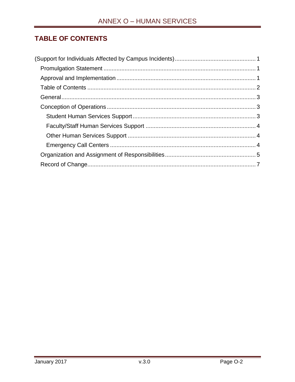# <span id="page-2-0"></span>**TABLE OF CONTENTS**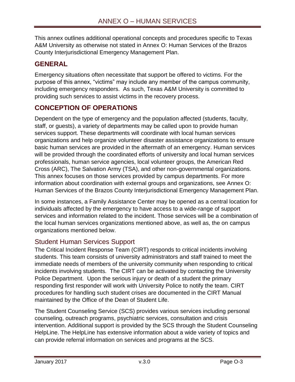This annex outlines additional operational concepts and procedures specific to Texas A&M University as otherwise not stated in Annex O: Human Services of the Brazos County Interjurisdictional Emergency Management Plan.

# <span id="page-3-0"></span>**GENERAL**

Emergency situations often necessitate that support be offered to victims. For the purpose of this annex, "victims" may include any member of the campus community, including emergency responders. As such, Texas A&M University is committed to providing such services to assist victims in the recovery process.

## <span id="page-3-1"></span>**CONCEPTION OF OPERATIONS**

Dependent on the type of emergency and the population affected (students, faculty, staff, or guests), a variety of departments may be called upon to provide human services support. These departments will coordinate with local human services organizations and help organize volunteer disaster assistance organizations to ensure basic human services are provided in the aftermath of an emergency. Human services will be provided through the coordinated efforts of university and local human services professionals, human service agencies, local volunteer groups, the American Red Cross (ARC), The Salvation Army (TSA), and other non-governmental organizations. This annex focuses on those services provided by campus departments. For more information about coordination with external groups and organizations, see Annex O: Human Services of the Brazos County Interjurisdictional Emergency Management Plan.

In some instances, a Family Assistance Center may be opened as a central location for individuals affected by the emergency to have access to a wide-range of support services and information related to the incident. Those services will be a combination of the local human services organizations mentioned above, as well as, the on campus organizations mentioned below.

#### <span id="page-3-2"></span>Student Human Services Support

The Critical Incident Response Team (CIRT) responds to critical incidents involving students. This team consists of university administrators and staff trained to meet the immediate needs of members of the university community when responding to critical incidents involving students. The CIRT can be activated by contacting the University Police Department. Upon the serious injury or death of a student the primary responding first responder will work with University Police to notify the team. CIRT procedures for handling such student crises are documented in the CIRT Manual maintained by the Office of the Dean of Student Life.

The Student Counseling Service (SCS) provides various services including personal counseling, outreach programs, psychiatric services, consultation and crisis intervention. Additional support is provided by the SCS through the Student Counseling HelpLine. The HelpLine has extensive information about a wide variety of topics and can provide referral information on services and programs at the SCS.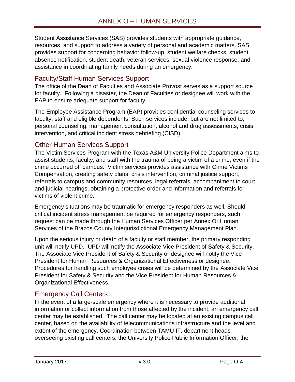Student Assistance Services (SAS) provides students with appropriate guidance, resources, and support to address a variety of personal and academic matters. SAS provides support for concerning behavior follow-up, student welfare checks, student absence notification, student death, veteran services, sexual violence response, and assistance in coordinating family needs during an emergency.

#### <span id="page-4-0"></span>Faculty/Staff Human Services Support

The office of the Dean of Faculties and Associate Provost serves as a support source for faculty. Following a disaster, the Dean of Faculties or designee will work with the EAP to ensure adequate support for faculty.

The Employee Assistance Program (EAP) provides confidential counseling services to faculty, staff and eligible dependents. Such services include, but are not limited to, personal counseling, management consultation, alcohol and drug assessments, crisis intervention, and critical incident stress debriefing (CISD).

#### <span id="page-4-1"></span>Other Human Services Support

The Victim Services Program with the Texas A&M University Police Department aims to assist students, faculty, and staff with the trauma of being a victim of a crime, even if the crime occurred off campus. Victim services provides assistance with Crime Victims Compensation, creating safety plans, crisis intervention, criminal justice support, referrals to campus and community resources, legal referrals, accompaniment to court and judicial hearings, obtaining a protective order and information and referrals for victims of violent crime.

Emergency situations may be traumatic for emergency responders as well. Should critical incident stress management be required for emergency responders, such request can be made through the Human Services Officer per Annex O: Human Services of the Brazos County Interjurisdictional Emergency Management Plan.

Upon the serious injury or death of a faculty or staff member, the primary responding unit will notify UPD. UPD will notify the Associate Vice President of Safety & Security. The Associate Vice President of Safety & Security or designee will notify the Vice President for Human Resources & Organizational Effectiveness or designee. Procedures for handling such employee crises will be determined by the Associate Vice President for Safety & Security and the Vice President for Human Resources & Organizational Effectiveness.

### <span id="page-4-2"></span>Emergency Call Centers

In the event of a large-scale emergency where it is necessary to provide additional information or collect information from those affected by the incident, an emergency call center may be established. The call center may be located at an existing campus call center, based on the availability of telecommunications infrastructure and the level and extent of the emergency. Coordination between TAMU IT, department heads overseeing existing call centers, the University Police Public Information Officer, the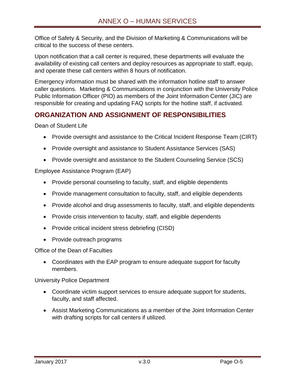Office of Safety & Security, and the Division of Marketing & Communications will be critical to the success of these centers.

Upon notification that a call center is required, these departments will evaluate the availability of existing call centers and deploy resources as appropriate to staff, equip, and operate these call centers within 8 hours of notification.

Emergency information must be shared with the information hotline staff to answer caller questions. Marketing & Communications in conjunction with the University Police Public Information Officer (PIO) as members of the Joint Information Center (JIC) are responsible for creating and updating FAQ scripts for the hotline staff, if activated.

## <span id="page-5-0"></span>**ORGANIZATION AND ASSIGNMENT OF RESPONSIBILITIES**

Dean of Student Life

- Provide oversight and assistance to the Critical Incident Response Team (CIRT)
- Provide oversight and assistance to Student Assistance Services (SAS)
- Provide oversight and assistance to the Student Counseling Service (SCS)

Employee Assistance Program (EAP)

- Provide personal counseling to faculty, staff, and eligible dependents
- Provide management consultation to faculty, staff, and eligible dependents
- Provide alcohol and drug assessments to faculty, staff, and eligible dependents
- Provide crisis intervention to faculty, staff, and eligible dependents
- Provide critical incident stress debriefing (CISD)
- Provide outreach programs

Office of the Dean of Faculties

 Coordinates with the EAP program to ensure adequate support for faculty members.

University Police Department

- Coordinate victim support services to ensure adequate support for students, faculty, and staff affected.
- Assist Marketing Communications as a member of the Joint Information Center with drafting scripts for call centers if utilized.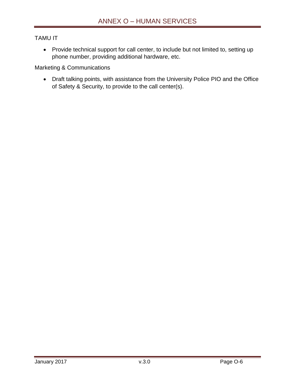TAMU IT

 Provide technical support for call center, to include but not limited to, setting up phone number, providing additional hardware, etc.

Marketing & Communications

 Draft talking points, with assistance from the University Police PIO and the Office of Safety & Security, to provide to the call center(s).